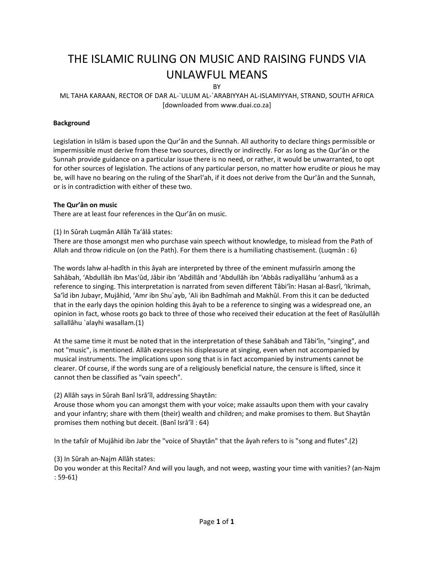# THE ISLAMIC RULING ON MUSIC AND RAISING FUNDS VIA UNLAWFUL MEANS

**RY** 

# ML TAHA KARAAN, RECTOR OF DAR AL‐`ULUM AL‐`ARABIYYAH AL‐ISLAMIYYAH, STRAND, SOUTH AFRICA [downloaded from www.duai.co.za]

# **Background**

Legislation in Islâm is based upon the Qur'ân and the Sunnah. All authority to declare things permissible or impermissible must derive from these two sources, directly or indirectly. For as long as the Qur'ân or the Sunnah provide guidance on a particular issue there is no need, or rather, it would be unwarranted, to opt for other sources of legislation. The actions of any particular person, no matter how erudite or pious he may be, will have no bearing on the ruling of the Sharî'ah, if it does not derive from the Qur'ân and the Sunnah, or is in contradiction with either of these two.

## **The Qur'ân on music**

There are at least four references in the Qur'ân on music.

#### (1) In Sûrah Luqmân Allâh Ta'âlâ states:

There are those amongst men who purchase vain speech without knowledge, to mislead from the Path of Allah and throw ridicule on (on the Path). For them there is a humiliating chastisement. (Luqmân : 6)

The words lahw al‐hadîth in this âyah are interpreted by three of the eminent mufassirîn among the Sahâbah, 'Abdullâh ibn Mas'ûd, Jâbir ibn 'Abdillâh and 'Abdullâh ibn 'Abbâs radiyallâhu 'anhumâ as a reference to singing. This interpretation is narrated from seven different Tâbi'în: Hasan al‐Basrî, 'Ikrimah, Sa'îd ibn Jubayr, Mujâhid, 'Amr ibn Shu`ayb, 'Ali ibn Badhîmah and Makhûl. From this it can be deducted that in the early days the opinion holding this âyah to be a reference to singing was a widespread one, an opinion in fact, whose roots go back to three of those who received their education at the feet of Rasûlullâh sallallâhu `alayhi wasallam.(1)

At the same time it must be noted that in the interpretation of these Sahâbah and Tâbi'în, "singing", and not "music", is mentioned. Allâh expresses his displeasure at singing, even when not accompanied by musical instruments. The implications upon song that is in fact accompanied by instruments cannot be clearer. Of course, if the words sung are of a religiously beneficial nature, the censure is lifted, since it cannot then be classified as "vain speech".

## (2) Allâh says in Sûrah Banî Isrâ'îl, addressing Shaytân:

Arouse those whom you can amongst them with your voice; make assaults upon them with your cavalry and your infantry; share with them (their) wealth and children; and make promises to them. But Shaytân promises them nothing but deceit. (Banî Isrâ'îl : 64)

In the tafsîr of Mujâhid ibn Jabr the "voice of Shaytân" that the âyah refers to is "song and flutes".(2)

## (3) In Sûrah an‐Najm Allâh states:

Do you wonder at this Recital? And will you laugh, and not weep, wasting your time with vanities? (an‐Najm : 59‐61)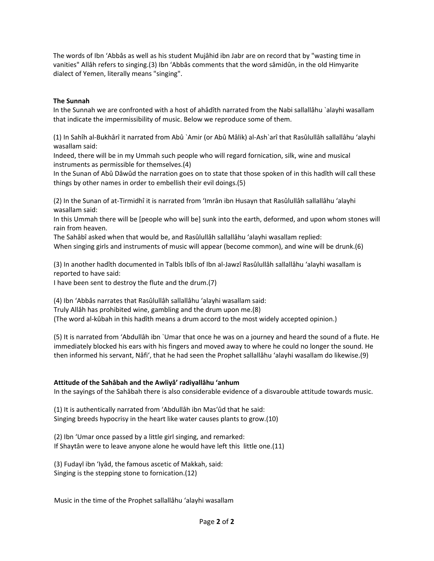The words of Ibn 'Abbâs as well as his student Mujâhid ibn Jabr are on record that by "wasting time in vanities" Allâh refers to singing.(3) Ibn 'Abbâs comments that the word sâmidûn, in the old Himyarite dialect of Yemen, literally means "singing".

## **The Sunnah**

In the Sunnah we are confronted with a host of ahâdîth narrated from the Nabi sallallâhu `alayhi wasallam that indicate the impermissibility of music. Below we reproduce some of them.

(1) In Sahîh al‐Bukhârî it narrated from Abû `Amir (or Abû Mâlik) al‐Ash`arî that Rasûlullâh sallallâhu 'alayhi wasallam said:

Indeed, there will be in my Ummah such people who will regard fornication, silk, wine and musical instruments as permissible for themselves.(4)

In the Sunan of Abû Dâwûd the narration goes on to state that those spoken of in this hadîth will call these things by other names in order to embellish their evil doings.(5)

(2) In the Sunan of at‐Tirmidhî it is narrated from 'Imrân ibn Husayn that Rasûlullâh sallallâhu 'alayhi wasallam said:

In this Ummah there will be [people who will be] sunk into the earth, deformed, and upon whom stones will rain from heaven.

The Sahâbî asked when that would be, and Rasûlullâh sallallâhu 'alayhi wasallam replied:

When singing girls and instruments of music will appear (become common), and wine will be drunk.(6)

(3) In another hadîth documented in Talbîs Iblîs of Ibn al‐Jawzî Rasûlullâh sallallâhu 'alayhi wasallam is reported to have said:

I have been sent to destroy the flute and the drum.(7)

(4) Ibn 'Abbâs narrates that Rasûlullâh sallallâhu 'alayhi wasallam said:

Truly Allâh has prohibited wine, gambling and the drum upon me.(8)

(The word al‐kûbah in this hadîth means a drum accord to the most widely accepted opinion.)

(5) It is narrated from 'Abdullâh ibn `Umar that once he was on a journey and heard the sound of a flute. He immediately blocked his ears with his fingers and moved away to where he could no longer the sound. He then informed his servant, Nâfi', that he had seen the Prophet sallallâhu 'alayhi wasallam do likewise.(9)

## **Attitude of the Sahâbah and the Awliyâ' radiyallâhu 'anhum**

In the sayings of the Sahâbah there is also considerable evidence of a disvarouble attitude towards music.

(1) It is authentically narrated from 'Abdullâh ibn Mas'ûd that he said: Singing breeds hypocrisy in the heart like water causes plants to grow.(10)

(2) Ibn 'Umar once passed by a little girl singing, and remarked: If Shaytân were to leave anyone alone he would have left this little one.(11)

(3) Fudayl ibn 'Iyâd, the famous ascetic of Makkah, said: Singing is the stepping stone to fornication.(12)

Music in the time of the Prophet sallallâhu 'alayhi wasallam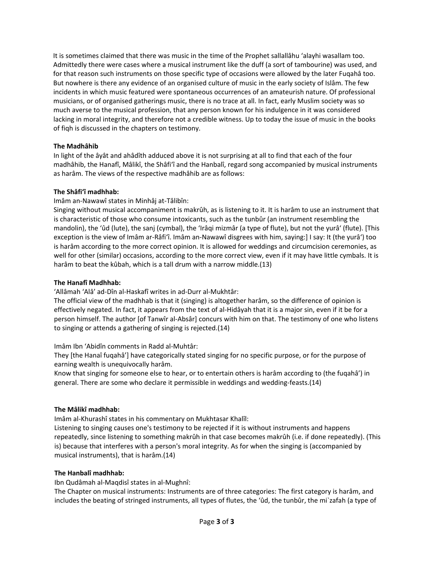It is sometimes claimed that there was music in the time of the Prophet sallallâhu 'alayhi wasallam too. Admittedly there were cases where a musical instrument like the duff (a sort of tambourine) was used, and for that reason such instruments on those specific type of occasions were allowed by the later Fuqahâ too. But nowhere is there any evidence of an organised culture of music in the early society of Islâm. The few incidents in which music featured were spontaneous occurrences of an amateurish nature. Of professional musicians, or of organised gatherings music, there is no trace at all. In fact, early Muslim society was so much averse to the musical profession, that any person known for his indulgence in it was considered lacking in moral integrity, and therefore not a credible witness. Up to today the issue of music in the books of fiqh is discussed in the chapters on testimony.

# **The Madhâhib**

In light of the âyât and ahâdîth adduced above it is not surprising at all to find that each of the four madhâhib, the Hanafî, Mâlikî, the Shâfi'î and the Hanbalî, regard song accompanied by musical instruments as harâm. The views of the respective madhâhib are as follows:

## **The Shâfi'î madhhab:**

Imâm an‐Nawawî states in Minhâj at‐Tâlibîn:

Singing without musical accompaniment is makrûh, as is listening to it. It is harâm to use an instrument that is characteristic of those who consume intoxicants, such as the tunbûr (an instrument resembling the mandolin), the 'ûd (lute), the sanj (cymbal), the 'Irâqi mizmâr (a type of flute), but not the yurâ' (flute). [This exception is the view of Imâm ar‐Râfi'î. Imâm an‐Nawawî disgrees with him, saying:] I say: It (the yurâ') too is harâm according to the more correct opinion. It is allowed for weddings and circumcision ceremonies, as well for other (similar) occasions, according to the more correct view, even if it may have little cymbals. It is harâm to beat the kûbah, which is a tall drum with a narrow middle.(13)

## **The Hanafî Madhhab:**

'Allâmah 'Alâ' ad‐Dîn al‐Haskafî writes in ad‐Durr al‐Mukhtâr:

The official view of the madhhab is that it (singing) is altogether harâm, so the difference of opinion is effectively negated. In fact, it appears from the text of al‐Hidâyah that it is a major sin, even if it be for a person himself. The author [of Tanwîr al‐Absâr] concurs with him on that. The testimony of one who listens to singing or attends a gathering of singing is rejected.(14)

Imâm Ibn 'Abidîn comments in Radd al‐Muhtâr:

They [the Hanaî fuqahâ'] have categorically stated singing for no specific purpose, or for the purpose of earning wealth is unequivocally harâm.

Know that singing for someone else to hear, or to entertain others is harâm according to (the fuqahâ') in general. There are some who declare it permissible in weddings and wedding‐feasts.(14)

## **The Mâlikî madhhab:**

Imâm al‐Khurashî states in his commentary on Mukhtasar Khalîl:

Listening to singing causes one's testimony to be rejected if it is without instruments and happens repeatedly, since listening to something makrûh in that case becomes makrûh (i.e. if done repeatedly). (This is) because that interferes with a person's moral integrity. As for when the singing is (accompanied by musical instruments), that is harâm.(14)

## **The Hanbalî madhhab:**

Ibn Qudâmah al‐Maqdisî states in al‐Mughnî:

The Chapter on musical instruments: Instruments are of three categories: The first category is harâm, and includes the beating of stringed instruments, all types of flutes, the 'ûd, the tunbûr, the mi`zafah (a type of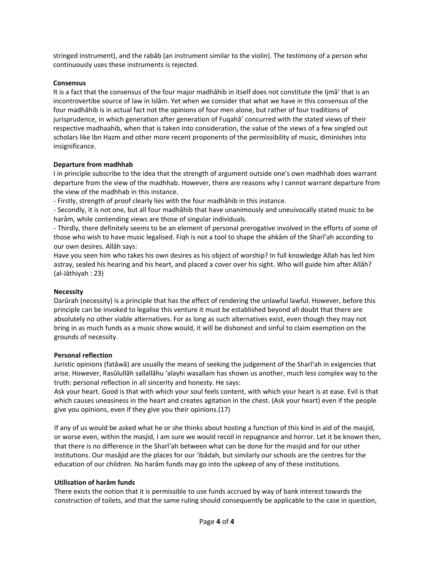stringed instrument), and the rabâb (an instrument similar to the violin). The testimony of a person who continuously uses these instruments is rejected.

#### **Consensus**

It is a fact that the consensus of the four major madhâhib in itself does not constitute the Ijmâ' that is an incontrovertibe source of law in Islâm. Yet when we consider that what we have in this consensus of the four madhâhib is in actual fact not the opinions of four men alone, but rather of four traditions of jurisprudence, in which generation after generation of Fuqahâ' concurred with the stated views of their respective madhaahib, when that is taken into consideration, the value of the views of a few singled out scholars like Ibn Hazm and other more recent proponents of the permissibility of music, diminishes into insignificance.

#### **Departure from madhhab**

I in principle subscribe to the idea that the strength of argument outside one's own madhhab does warrant departure from the view of the madhhab. However, there are reasons why I cannot warrant departure from the view of the madhhab in this instance.

‐ Firstly, strength of proof clearly lies with the four madhâhib in this instance.

‐ Secondly, it is not one, but all four madhâhib that have unanimously and uneuivocally stated music to be harâm, while contending views are those of singular individuals.

‐ Thirdly, there definitely seems to be an element of personal prerogative involved in the efforts of some of those who wish to have music legalised. Fiqh is not a tool to shape the ahkâm of the Sharî'ah according to our own desires. Allâh says:

Have you seen him who takes his own desires as his object of worship? In full knowledge Allah has led him astray, sealed his hearing and his heart, and placed a cover over his sight. Who will guide him after Allâh? (al‐Jâthiyah : 23)

## **Necessity**

Darûrah (necessity) is a principle that has the effect of rendering the unlawful lawful. However, before this principle can be invoked to legalise this venture it must be established beyond all doubt that there are absolutely no other viable alternatives. For as long as such alternatives exist, even though they may not bring in as much funds as a music show would, it will be dishonest and sinful to claim exemption on the grounds of necessity.

#### **Personal reflection**

Juristic opinions (fatâwâ) are usually the means of seeking the judgement of the Sharî'ah in exigencies that arise. However, Rasûlullâh sallallâhu 'alayhi wasallam has shown us another, much less complex way to the truth: personal reflection in all sincerity and honesty. He says:

Ask your heart. Good is that with which your soul feels content, with which your heart is at ease. Evil is that which causes uneasiness in the heart and creates agitation in the chest. (Ask your heart) even if the people give you opinions, even if they give you their opinions.(17)

If any of us would be asked what he or she thinks about hosting a function of this kind in aid of the masjid, or worse even, within the masjid, I am sure we would recoil in repugnance and horror. Let it be known then, that there is no difference in the Sharî'ah between what can be done for the masjid and for our other institutions. Our masâjid are the places for our 'ibâdah, but similarly our schools are the centres for the education of our children. No harâm funds may go into the upkeep of any of these institutions.

#### **Utilisation of harâm funds**

There exists the notion that it is permissible to use funds accrued by way of bank interest towards the construction of toilets, and that the same ruling should consequently be applicable to the case in question,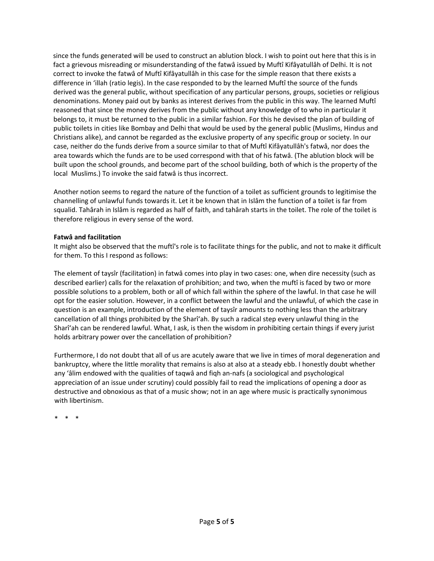since the funds generated will be used to construct an ablution block. I wish to point out here that this is in fact a grievous misreading or misunderstanding of the fatwâ issued by Muftî Kifâyatullâh of Delhi. It is not correct to invoke the fatwâ of Muftî Kifâyatullâh in this case for the simple reason that there exists a difference in 'illah (ratio legis). In the case responded to by the learned Muftî the source of the funds derived was the general public, without specification of any particular persons, groups, societies or religious denominations. Money paid out by banks as interest derives from the public in this way. The learned Muftî reasoned that since the money derives from the public without any knowledge of to who in particular it belongs to, it must be returned to the public in a similar fashion. For this he devised the plan of building of public toilets in cities like Bombay and Delhi that would be used by the general public (Muslims, Hindus and Christians alike), and cannot be regarded as the exclusive property of any specific group or society. In our case, neither do the funds derive from a source similar to that of Muftî Kifâyatullâh's fatwâ, nor does the area towards which the funds are to be used correspond with that of his fatwâ. (The ablution block will be built upon the school grounds, and become part of the school building, both of which is the property of the local Muslims.) To invoke the said fatwâ is thus incorrect.

Another notion seems to regard the nature of the function of a toilet as sufficient grounds to legitimise the channelling of unlawful funds towards it. Let it be known that in Islâm the function of a toilet is far from squalid. Tahârah in Islâm is regarded as half of faith, and tahârah starts in the toilet. The role of the toilet is therefore religious in every sense of the word.

## **Fatwâ and facilitation**

It might also be observed that the muftî's role is to facilitate things for the public, and not to make it difficult for them. To this I respond as follows:

The element of taysîr (facilitation) in fatwâ comes into play in two cases: one, when dire necessity (such as described earlier) calls for the relaxation of prohibition; and two, when the muftî is faced by two or more possible solutions to a problem, both or all of which fall within the sphere of the lawful. In that case he will opt for the easier solution. However, in a conflict between the lawful and the unlawful, of which the case in question is an example, introduction of the element of taysîr amounts to nothing less than the arbitrary cancellation of all things prohibited by the Sharî'ah. By such a radical step every unlawful thing in the Sharî'ah can be rendered lawful. What, I ask, is then the wisdom in prohibiting certain things if every jurist holds arbitrary power over the cancellation of prohibition?

Furthermore, I do not doubt that all of us are acutely aware that we live in times of moral degeneration and bankruptcy, where the little morality that remains is also at also at a steady ebb. I honestly doubt whether any 'âlim endowed with the qualities of taqwâ and fiqh an‐nafs (a sociological and psychological appreciation of an issue under scrutiny) could possibly fail to read the implications of opening a door as destructive and obnoxious as that of a music show; not in an age where music is practically synonimous with libertinism.

\* \* \*